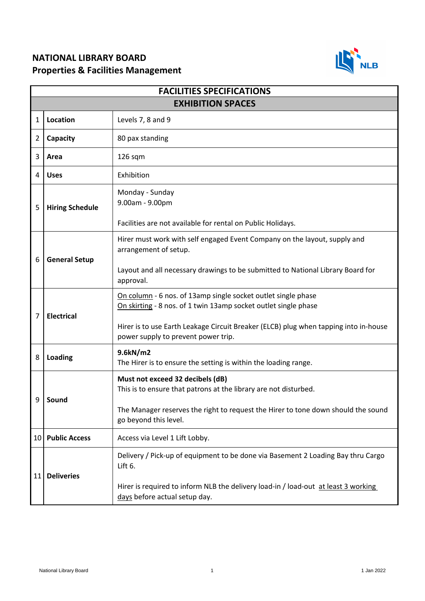## **NATIONAL LIBRARY BOARD Properties & Facilities Management**



| <b>FACILITIES SPECIFICATIONS</b> |                        |                                                                                                                                  |  |
|----------------------------------|------------------------|----------------------------------------------------------------------------------------------------------------------------------|--|
| <b>EXHIBITION SPACES</b>         |                        |                                                                                                                                  |  |
| $\mathbf{1}$                     | Location               | Levels 7, 8 and 9                                                                                                                |  |
| 2                                | Capacity               | 80 pax standing                                                                                                                  |  |
| 3                                | Area                   | $126$ sqm                                                                                                                        |  |
| 4                                | <b>Uses</b>            | Exhibition                                                                                                                       |  |
| 5                                | <b>Hiring Schedule</b> | Monday - Sunday<br>9.00am - 9.00pm                                                                                               |  |
|                                  |                        | Facilities are not available for rental on Public Holidays.                                                                      |  |
| 6                                | <b>General Setup</b>   | Hirer must work with self engaged Event Company on the layout, supply and<br>arrangement of setup.                               |  |
|                                  |                        | Layout and all necessary drawings to be submitted to National Library Board for<br>approval.                                     |  |
| 7                                | <b>Electrical</b>      | On column - 6 nos. of 13amp single socket outlet single phase<br>On skirting - 8 nos. of 1 twin 13amp socket outlet single phase |  |
|                                  |                        | Hirer is to use Earth Leakage Circuit Breaker (ELCB) plug when tapping into in-house<br>power supply to prevent power trip.      |  |
| 8                                | Loading                | 9.6kN/m2<br>The Hirer is to ensure the setting is within the loading range.                                                      |  |
| 9                                | Sound                  | Must not exceed 32 decibels (dB)<br>This is to ensure that patrons at the library are not disturbed.                             |  |
|                                  |                        | The Manager reserves the right to request the Hirer to tone down should the sound<br>go beyond this level.                       |  |
| 10 <sup>1</sup>                  | <b>Public Access</b>   | Access via Level 1 Lift Lobby.                                                                                                   |  |
| 11                               | <b>Deliveries</b>      | Delivery / Pick-up of equipment to be done via Basement 2 Loading Bay thru Cargo<br>Lift 6.                                      |  |
|                                  |                        | Hirer is required to inform NLB the delivery load-in / load-out at least 3 working<br>days before actual setup day.              |  |